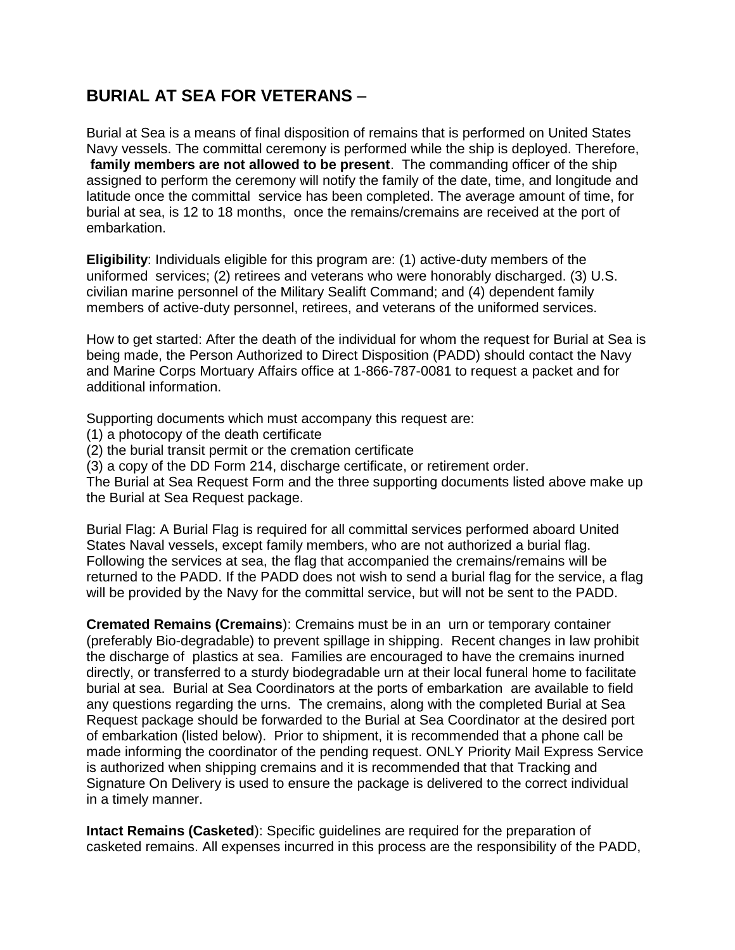## **BURIAL AT SEA FOR VETERANS** –

Burial at Sea is a means of final disposition of remains that is performed on United States Navy vessels. The committal ceremony is performed while the ship is deployed. Therefore, **family members are not allowed to be present**. The commanding officer of the ship assigned to perform the ceremony will notify the family of the date, time, and longitude and latitude once the committal service has been completed. The average amount of time, for burial at sea, is 12 to 18 months, once the remains/cremains are received at the port of embarkation.

**Eligibility**: Individuals eligible for this program are: (1) active-duty members of the uniformed services; (2) retirees and veterans who were honorably discharged. (3) U.S. civilian marine personnel of the Military Sealift Command; and (4) dependent family members of active-duty personnel, retirees, and veterans of the uniformed services.

How to get started: After the death of the individual for whom the request for Burial at Sea is being made, the Person Authorized to Direct Disposition (PADD) should contact the Navy and Marine Corps Mortuary Affairs office at 1-866-787-0081 to request a packet and for additional information.

Supporting documents which must accompany this request are:

- (1) a photocopy of the death certificate
- (2) the burial transit permit or the cremation certificate

(3) a copy of the DD Form 214, discharge certificate, or retirement order.

The Burial at Sea Request Form and the three supporting documents listed above make up the Burial at Sea Request package.

Burial Flag: A Burial Flag is required for all committal services performed aboard United States Naval vessels, except family members, who are not authorized a burial flag. Following the services at sea, the flag that accompanied the cremains/remains will be returned to the PADD. If the PADD does not wish to send a burial flag for the service, a flag will be provided by the Navy for the committal service, but will not be sent to the PADD.

**Cremated Remains (Cremains**): Cremains must be in an urn or temporary container (preferably Bio-degradable) to prevent spillage in shipping. Recent changes in law prohibit the discharge of plastics at sea. Families are encouraged to have the cremains inurned directly, or transferred to a sturdy biodegradable urn at their local funeral home to facilitate burial at sea. Burial at Sea Coordinators at the ports of embarkation are available to field any questions regarding the urns. The cremains, along with the completed Burial at Sea Request package should be forwarded to the Burial at Sea Coordinator at the desired port of embarkation (listed below). Prior to shipment, it is recommended that a phone call be made informing the coordinator of the pending request. ONLY Priority Mail Express Service is authorized when shipping cremains and it is recommended that that Tracking and Signature On Delivery is used to ensure the package is delivered to the correct individual in a timely manner.

**Intact Remains (Casketed**): Specific guidelines are required for the preparation of casketed remains. All expenses incurred in this process are the responsibility of the PADD,